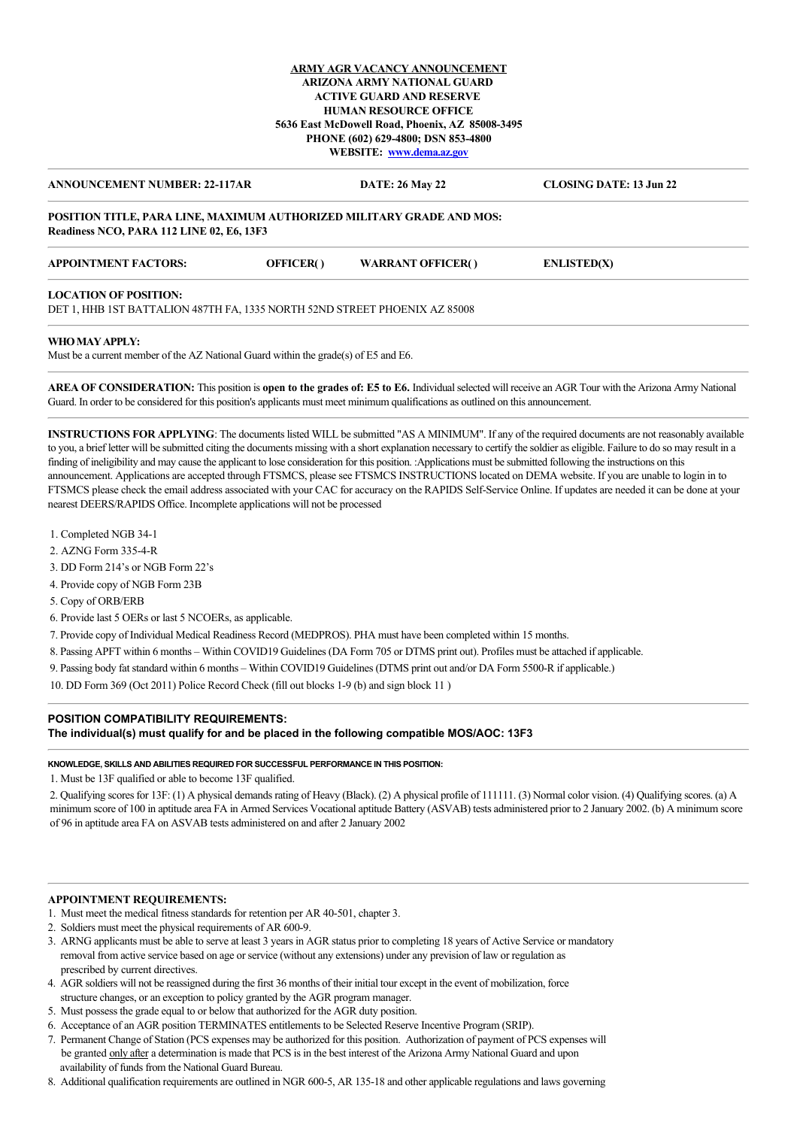### **ARMY AGR VACANCY ANNOUNCEMENT ARIZONA ARMY NATIONAL GUARD ACTIVE GUARD AND RESERVE HUMAN RESOURCE OFFICE 5636 East McDowell Road, Phoenix, AZ 85008-3495 PHONE (602) 629-4800; DSN 853-4800 WEBSITE: [www.dema.az.gov](http://www.dema.az.gov/)**

# **ANNOUNCEMENT NUMBER: 22-117AR DATE: 26 May 22 CLOSING DATE: 13 Jun 22 POSITION TITLE, PARA LINE, MAXIMUM AUTHORIZED MILITARY GRADE AND MOS: Readiness NCO, PARA 112 LINE 02, E6, 13F3**

| <b>APPOINTMENT FACTORS:</b>  | OFFICER() | <b>WARRANT OFFICER()</b> | ENLISTED(X) |  |
|------------------------------|-----------|--------------------------|-------------|--|
| <b>LOCATION OF POSITION:</b> |           |                          |             |  |

DET 1, HHB 1ST BATTALION 487TH FA, 1335 NORTH 52ND STREET PHOENIX AZ 85008

#### **WHO MAY APPLY:**

Must be a current member of the AZ National Guard within the grade(s) of E5 and E6.

**AREA OF CONSIDERATION:** This position is **open to the grades of: E5 to E6.** Individual selected will receive an AGR Tour with the Arizona Army National Guard. In order to be considered for this position's applicants must meet minimum qualifications as outlined on this announcement.

**INSTRUCTIONS FOR APPLYING**: The documents listed WILL be submitted "AS A MINIMUM". If any of the required documents are not reasonably available to you, a brief letter will be submitted citing the documents missing with a short explanation necessary to certify the soldier as eligible. Failure to do so may result in a finding of ineligibility and may cause the applicant to lose consideration for this position. :Applications must be submitted following the instructions on this announcement. Applications are accepted through FTSMCS, please see FTSMCS INSTRUCTIONS located on DEMA website. If you are unable to login in to FTSMCS please check the email address associated with your CAC for accuracy on the RAPIDS Self-Service Online. If updates are needed it can be done at your nearest DEERS/RAPIDS Office. Incomplete applications will not be processed

- 1. Completed NGB 34-1
- 2. AZNG Form 335-4-R
- 3. DD Form 214's or NGB Form 22's
- 4. Provide copy of NGB Form 23B
- 5. Copy of ORB/ERB
- 6. Provide last 5 OERs or last 5 NCOERs, as applicable.

7. Provide copy of Individual Medical Readiness Record (MEDPROS). PHA must have been completed within 15 months.

- 8. Passing APFT within 6 months Within COVID19 Guidelines (DA Form 705 or DTMS print out). Profiles must be attached if applicable.
- 9. Passing body fat standard within 6 months Within COVID19 Guidelines (DTMS print out and/or DA Form 5500-R if applicable.)

10. DD Form 369 (Oct 2011) Police Record Check (fill out blocks 1-9 (b) and sign block 11 )

# **POSITION COMPATIBILITY REQUIREMENTS:**

#### **The individual(s) must qualify for and be placed in the following compatible MOS/AOC: 13F3**

#### **KNOWLEDGE, SKILLS AND ABILITIES REQUIRED FOR SUCCESSFUL PERFORMANCE IN THIS POSITION:**

1. Must be 13F qualified or able to become 13F qualified.

2. Qualifying scores for 13F: (1) A physical demands rating of Heavy (Black). (2) A physical profile of 111111. (3) Normal color vision. (4) Qualifying scores. (a) A minimum score of 100 in aptitude area FA in Armed Services Vocational aptitude Battery (ASVAB) tests administered prior to 2 January 2002. (b) A minimum score of 96 in aptitude area FA on ASVAB tests administered on and after 2 January 2002

# **APPOINTMENT REQUIREMENTS:**

- 1. Must meet the medical fitness standards for retention per AR 40-501, chapter 3.
- 2. Soldiers must meet the physical requirements of AR 600-9.
- 3. ARNG applicants must be able to serve at least 3 years in AGR status prior to completing 18 years of Active Service or mandatory removal from active service based on age or service (without any extensions) under any prevision of law or regulation as prescribed by current directives.
- 4. AGR soldiers will not be reassigned during the first 36 months of their initial tour except in the event of mobilization, force structure changes, or an exception to policy granted by the AGR program manager.
- 5. Must possess the grade equal to or below that authorized for the AGR duty position.
- 6. Acceptance of an AGR position TERMINATES entitlements to be Selected Reserve Incentive Program (SRIP).
- 7. Permanent Change of Station (PCS expenses may be authorized for this position. Authorization of payment of PCS expenses will be granted only after a determination is made that PCS is in the best interest of the Arizona Army National Guard and upon availability of funds from the National Guard Bureau.
- 8. Additional qualification requirements are outlined in NGR 600-5, AR 135-18 and other applicable regulations and laws governing